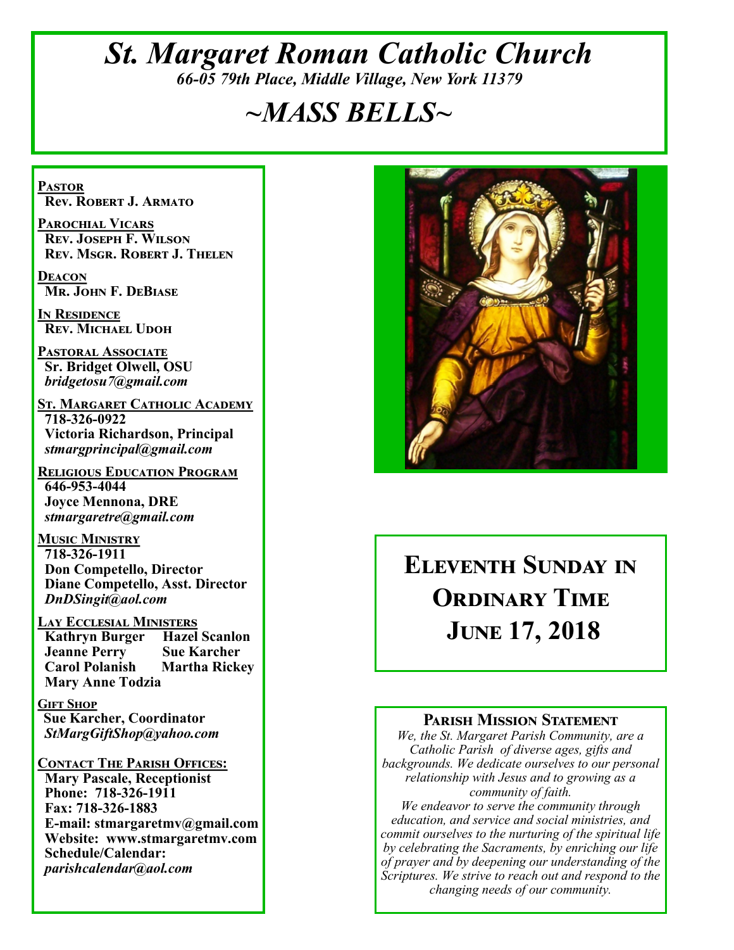# *St. Margaret Roman Catholic Church 66-05 79th Place, Middle Village, New York 11379*

# *~MASS BELLS~*

**Pastor Rev. Robert J. Armato**

**Parochial Vicars Rev. Joseph F. Wilson Rev. Msgr. Robert J. Thelen**

**Deacon Mr. John F. DeBiase** 

**In Residence Rev. Michael Udoh**

**Pastoral Associate Sr. Bridget Olwell, OSU**  *bridgetosu7@gmail.com*

**St. Margaret Catholic Academy 718-326-0922 Victoria Richardson, Principal**  *stmargprincipal@gmail.com*

**Religious Education Program 646-953-4044 Joyce Mennona, DRE** *stmargaretre@gmail.com*

**Music Ministry 718-326-1911 Don Competello, Director Diane Competello, Asst. Director** *DnDSingit@aol.com*

**LAY ECCLESIAL MINISTERS<br>
Kathryn Burger Hazel Scanlon Kathryn Burger Jeanne Perry Sue Karcher<br>Carol Polanish Martha Ricke Martha Rickey Mary Anne Todzia**

**Gift Shop Sue Karcher, Coordinator** *StMargGiftShop@yahoo.com*

**Contact The Parish Offices: Mary Pascale, Receptionist Phone: 718-326-1911 Fax: 718-326-1883 E-mail: stmargaretmv@gmail.com Website: www.stmargaretmv.com Schedule/Calendar:** *parishcalendar@aol.com* 



# **Eleventh Sunday in Ordinary Time June 17, 2018**

### **Parish Mission Statement**

*We, the St. Margaret Parish Community, are a Catholic Parish of diverse ages, gifts and backgrounds. We dedicate ourselves to our personal relationship with Jesus and to growing as a community of faith.*

*We endeavor to serve the community through education, and service and social ministries, and commit ourselves to the nurturing of the spiritual life by celebrating the Sacraments, by enriching our life of prayer and by deepening our understanding of the Scriptures. We strive to reach out and respond to the changing needs of our community.*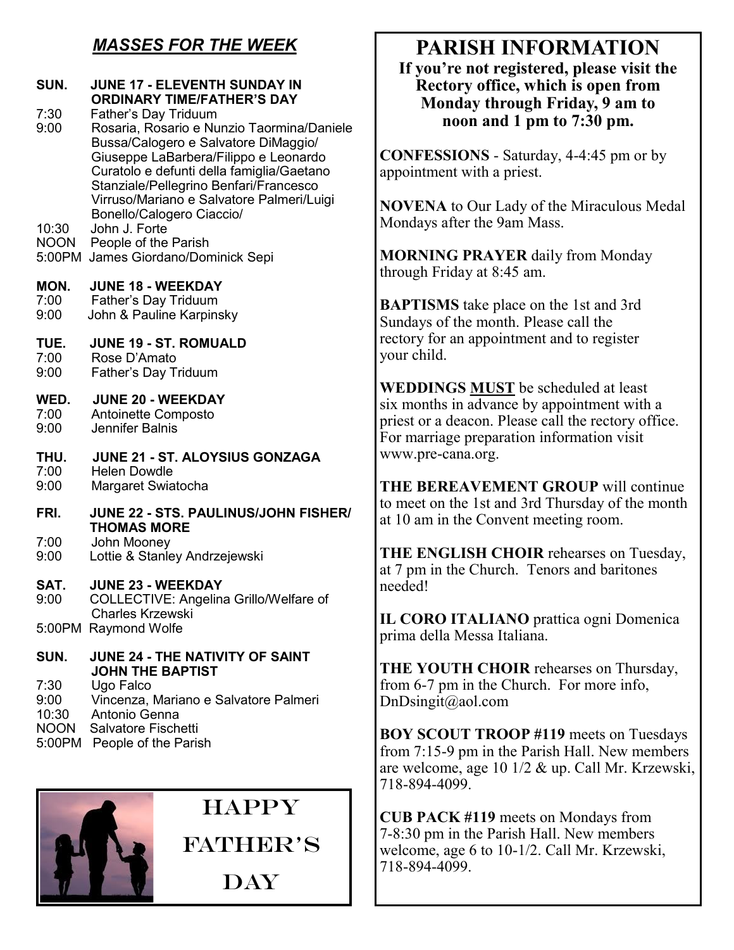# *MASSES FOR THE WEEK*

| SUN.                 | <b>JUNE 17 - ELEVENTH SUNDAY IN</b><br><b>ORDINARY TIME/FATHER'S DAY</b>            | 11 yvu 12<br>Rector<br>Mond           |
|----------------------|-------------------------------------------------------------------------------------|---------------------------------------|
| 7:30<br>9:00         | Father's Day Triduum<br>Rosaria, Rosario e Nunzio Taormina/Daniele                  | $\bf{n}$                              |
|                      | Bussa/Calogero e Salvatore DiMaggio/<br>Giuseppe LaBarbera/Filippo e Leonardo       | <b>CONFESSI</b>                       |
|                      | Curatolo e defunti della famiglia/Gaetano<br>Stanziale/Pellegrino Benfari/Francesco | appointment                           |
|                      | Virruso/Mariano e Salvatore Palmeri/Luigi<br>Bonello/Calogero Ciaccio/              | <b>NOVENA</b> to                      |
| 10:30<br><b>NOON</b> | John J. Forte<br>People of the Parish                                               | Mondays afte                          |
|                      | 5:00PM James Giordano/Dominick Sepi                                                 | <b>MORNING</b>                        |
| MON.                 | <b>JUNE 18 - WEEKDAY</b>                                                            | through Frida                         |
| 7:00                 | Father's Day Triduum                                                                | <b>BAPTISMS</b>                       |
| 9:00                 | John & Pauline Karpinsky                                                            | Sundays of th                         |
| TUE.                 | <b>JUNE 19 - ST. ROMUALD</b>                                                        | rectory for ar                        |
| 7:00<br>9:00         | Rose D'Amato<br>Father's Day Triduum                                                | your child.                           |
|                      |                                                                                     | <b>WEDDINGS</b>                       |
| WED.<br>7:00         | <b>JUNE 20 - WEEKDAY</b><br>Antoinette Composto                                     | six months in                         |
| 9:00                 | Jennifer Balnis                                                                     | priest or a de<br>For marriage        |
| THU.                 | JUNE 21 - ST. ALOYSIUS GONZAGA                                                      | www.pre-car                           |
| 7:00                 | <b>Helen Dowdle</b>                                                                 |                                       |
| 9:00                 | Margaret Swiatocha                                                                  | <b>THE BERE</b><br>to meet on th      |
| FRI.                 | JUNE 22 - STS. PAULINUS/JOHN FISHER/<br><b>THOMAS MORE</b>                          | at 10 am in tl                        |
| 7:00                 | John Mooney                                                                         |                                       |
| 9:00                 | Lottie & Stanley Andrzejewski                                                       | <b>THE ENGL</b><br>at 7 pm in the     |
| SAT.                 | <b>JUNE 23 - WEEKDAY</b>                                                            | needed!                               |
| 9:00                 | COLLECTIVE: Angelina Grillo/Welfare of<br>Charles Krzewski                          |                                       |
|                      | 5:00PM Raymond Wolfe                                                                | <b>IL CORO IT</b><br>prima della N    |
| SUN.                 | <b>JUNE 24 - THE NATIVITY OF SAINT</b>                                              |                                       |
|                      | <b>JOHN THE BAPTIST</b>                                                             | <b>THE YOUT</b>                       |
| 7:30<br>9:00         | Ugo Falco<br>Vincenza, Mariano e Salvatore Palmeri                                  | from $6-7$ pm<br>$DnDisingit(\omega)$ |
| 10:30                | Antonio Genna                                                                       |                                       |
| <b>NOON</b>          | Salvatore Fischetti                                                                 | <b>BOY SCOU</b>                       |

5:00PM People of the Parish



# **PARISH INFORMATION**

**If you're not registered, please visit the Rectory office, which is open from Monday through Friday, 9 am to noon and 1 pm to 7:30 pm.**

**CONS** - Saturday, 4-4:45 pm or by with a priest.

**Our Lady of the Miraculous Medal** er the 9am Mass.

**PRAYER** daily from Monday ay at  $8:45$  am.

take place on the 1st and 3rd he month. Please call the n appointment and to register

**S MUST** be scheduled at least is a advance by appointment with a eleacon. Please call the rectory office. preparation information visit na.org.

**AVEMENT GROUP** will continue e 1st and 3rd Thursday of the month he Convent meeting room.

**THE CHOIR** rehearses on Tuesday, e Church. Tenors and baritones

**TALIANO** prattica ogni Domenica Messa Italiana.

**H CHOIR** rehearses on Thursday, in the Church. For more info, aol.com

**T TROOP #119 meets on Tuesdays** from 7:15-9 pm in the Parish Hall. New members are welcome, age 10 1/2 & up. Call Mr. Krzewski, 718-894-4099.

**CUB PACK #119** meets on Mondays from 7-8:30 pm in the Parish Hall. New members welcome, age 6 to 10-1/2. Call Mr. Krzewski, 718-894-4099.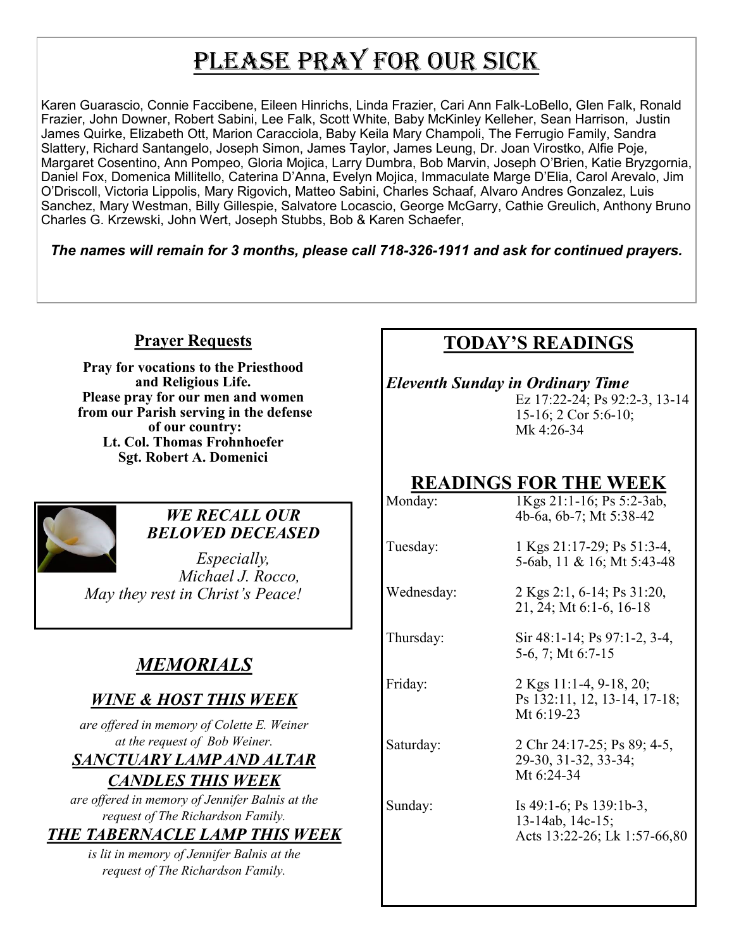# PLEASE PRAY FOR OUR SICK

Karen Guarascio, Connie Faccibene, Eileen Hinrichs, Linda Frazier, Cari Ann Falk-LoBello, Glen Falk, Ronald Frazier, John Downer, Robert Sabini, Lee Falk, Scott White, Baby McKinley Kelleher, Sean Harrison, Justin James Quirke, Elizabeth Ott, Marion Caracciola, Baby Keila Mary Champoli, The Ferrugio Family, Sandra Slattery, Richard Santangelo, Joseph Simon, James Taylor, James Leung, Dr. Joan Virostko, Alfie Poje, Margaret Cosentino, Ann Pompeo, Gloria Mojica, Larry Dumbra, Bob Marvin, Joseph O'Brien, Katie Bryzgornia, Daniel Fox, Domenica Millitello, Caterina D'Anna, Evelyn Mojica, Immaculate Marge D'Elia, Carol Arevalo, Jim O'Driscoll, Victoria Lippolis, Mary Rigovich, Matteo Sabini, Charles Schaaf, Alvaro Andres Gonzalez, Luis Sanchez, Mary Westman, Billy Gillespie, Salvatore Locascio, George McGarry, Cathie Greulich, Anthony Bruno Charles G. Krzewski, John Wert, Joseph Stubbs, Bob & Karen Schaefer,

*The names will remain for 3 months, please call 718-326-1911 and ask for continued prayers.*

## **Prayer Requests**

**Pray for vocations to the Priesthood and Religious Life. Please pray for our men and women from our Parish serving in the defense of our country: Lt. Col. Thomas Frohnhoefer Sgt. Robert A. Domenici** 



## *WE RECALL OUR BELOVED DECEASED*

*Especially, Michael J. Rocco, May they rest in Christ's Peace!*

# *MEMORIALS*

# *WINE & HOST THIS WEEK*

*are offered in memory of Colette E. Weiner at the request of Bob Weiner.* 

## *SANCTUARY LAMP AND ALTAR CANDLES THIS WEEK*

*are offered in memory of Jennifer Balnis at the request of The Richardson Family.*

# *THE TABERNACLE LAMP THIS WEEK*

*is lit in memory of Jennifer Balnis at the request of The Richardson Family.*

# **TODAY'S READINGS**

*Eleventh Sunday in Ordinary Time*  Ez 17:22-24; Ps 92:2-3, 13-14 15-16; 2 Cor 5:6-10; Mk 4:26-34

# **READINGS FOR THE WEEK**<br>1Kgs 21:1-16; Ps 5:2-3ab,

1Kgs 21:1-16; Ps 5:2-3ab, 4b-6a, 6b-7; Mt 5:38-42

Tuesday: 1 Kgs 21:17-29; Ps 51:3-4,

Wednesday: 2 Kgs 2:1, 6-14; Ps 31:20, 21, 24; Mt 6:1-6, 16-18

Thursday: Sir 48:1-14; Ps 97:1-2, 3-4, 5-6, 7; Mt 6:7-15

5-6ab, 11 & 16; Mt 5:43-48

Friday: 2 Kgs 11:1-4, 9-18, 20;

Ps 132:11, 12, 13-14, 17-18; Mt 6:19-23

Saturday: 2 Chr 24:17-25; Ps 89; 4-5, 29-30, 31-32, 33-34; Mt 6:24-34

Sunday: Is 49:1-6; Ps 139:1b-3, 13-14ab, 14c-15; Acts 13:22-26; Lk 1:57-66,80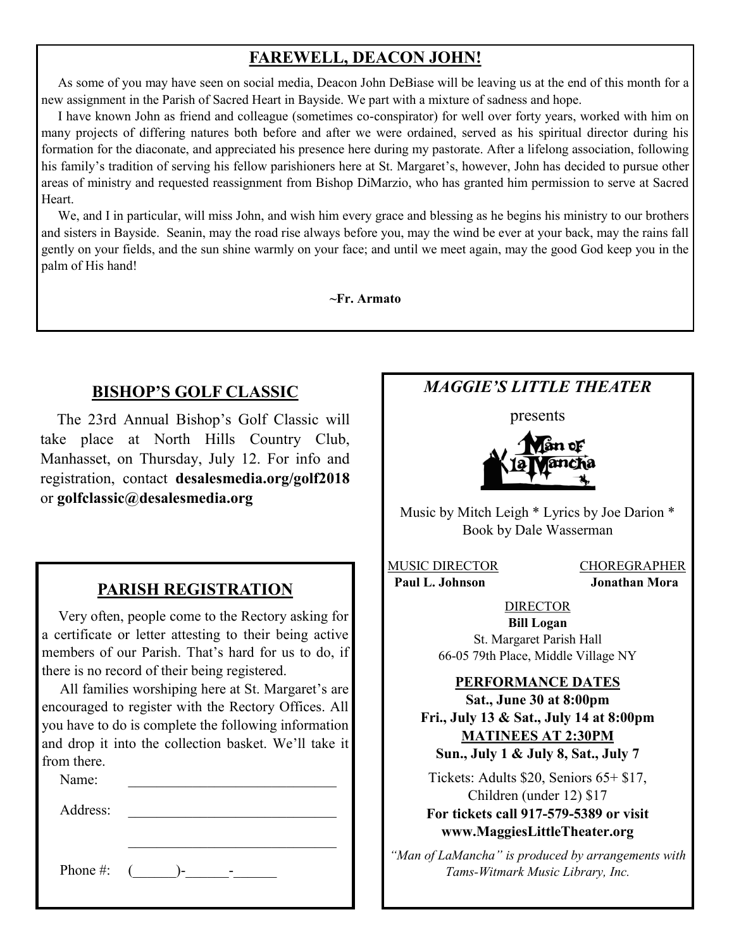# **FAREWELL, DEACON JOHN!**

 As some of you may have seen on social media, Deacon John DeBiase will be leaving us at the end of this month for a new assignment in the Parish of Sacred Heart in Bayside. We part with a mixture of sadness and hope.

 I have known John as friend and colleague (sometimes co-conspirator) for well over forty years, worked with him on many projects of differing natures both before and after we were ordained, served as his spiritual director during his formation for the diaconate, and appreciated his presence here during my pastorate. After a lifelong association, following his family's tradition of serving his fellow parishioners here at St. Margaret's, however, John has decided to pursue other areas of ministry and requested reassignment from Bishop DiMarzio, who has granted him permission to serve at Sacred Heart.

 We, and I in particular, will miss John, and wish him every grace and blessing as he begins his ministry to our brothers and sisters in Bayside. Seanin, may the road rise always before you, may the wind be ever at your back, may the rains fall gently on your fields, and the sun shine warmly on your face; and until we meet again, may the good God keep you in the palm of His hand!

**~Fr. Armato**

## **BISHOP'S GOLF CLASSIC**

 The 23rd Annual Bishop's Golf Classic will take place at North Hills Country Club, Manhasset, on Thursday, July 12. For info and registration, contact **desalesmedia.org/golf2018**  or **golfclassic@desalesmedia.org**

## **PARISH REGISTRATION**

 Very often, people come to the Rectory asking for a certificate or letter attesting to their being active members of our Parish. That's hard for us to do, if there is no record of their being registered.

 All families worshiping here at St. Margaret's are encouraged to register with the Rectory Offices. All you have to do is complete the following information and drop it into the collection basket. We'll take it from there.

Name:

Address:

Phone #:  $($   $)$ -  $)$ -

# *MAGGIE'S LITTLE THEATER*

presents



Music by Mitch Leigh \* Lyrics by Joe Darion \* Book by Dale Wasserman

MUSIC DIRECTOR CHOREGRAPHER  **Paul L. Johnson Jonathan Mora**

#### DIRECTOR **Bill Logan**

St. Margaret Parish Hall 66-05 79th Place, Middle Village NY

#### **PERFORMANCE DATES**

**Sat., June 30 at 8:00pm Fri., July 13 & Sat., July 14 at 8:00pm MATINEES AT 2:30PM Sun., July 1 & July 8, Sat., July 7**

Tickets: Adults \$20, Seniors 65+ \$17, Children (under 12) \$17 **For tickets call 917-579-5389 or visit www.MaggiesLittleTheater.org**

*"Man of LaMancha" is produced by arrangements with Tams-Witmark Music Library, Inc.*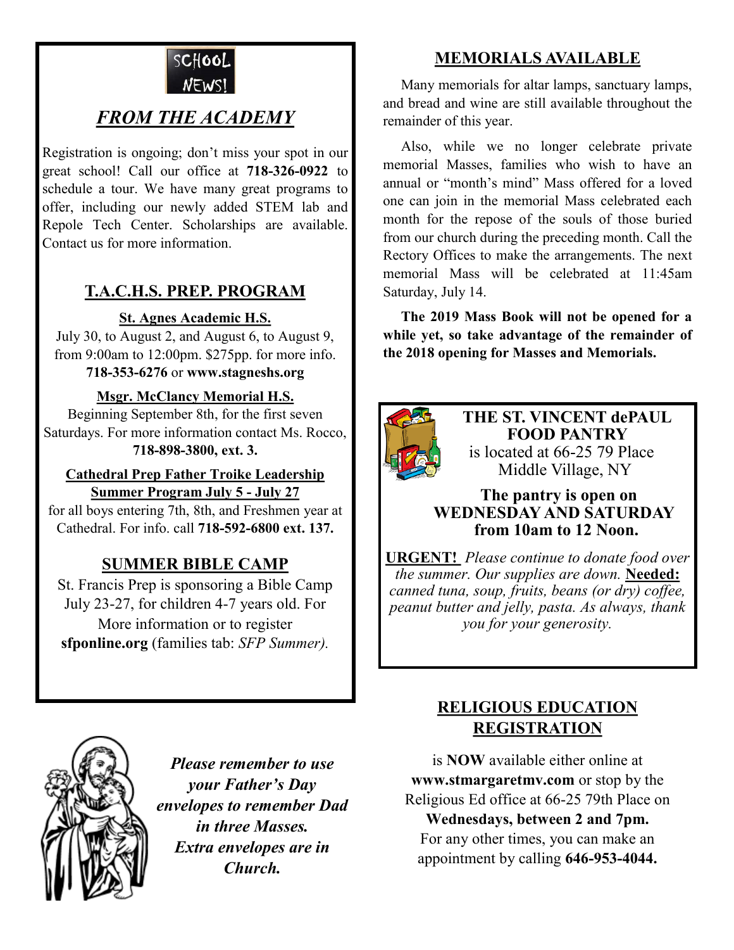

# *FROM THE ACADEMY*

Registration is ongoing; don't miss your spot in our great school! Call our office at **718-326-0922** to schedule a tour. We have many great programs to offer, including our newly added STEM lab and Repole Tech Center. Scholarships are available. Contact us for more information.

# **T.A.C.H.S. PREP. PROGRAM**

## **St. Agnes Academic H.S.**

July 30, to August 2, and August 6, to August 9, from 9:00am to 12:00pm. \$275pp. for more info. **718-353-6276** or **www.stagneshs.org**

## **Msgr. McClancy Memorial H.S.**

Beginning September 8th, for the first seven Saturdays. For more information contact Ms. Rocco, **718-898-3800, ext. 3.**

#### **Cathedral Prep Father Troike Leadership Summer Program July 5 - July 27**

for all boys entering 7th, 8th, and Freshmen year at Cathedral. For info. call **718-592-6800 ext. 137.**

# **SUMMER BIBLE CAMP**

St. Francis Prep is sponsoring a Bible Camp July 23-27, for children 4-7 years old. For More information or to register **sfponline.org** (families tab: *SFP Summer).*

# **MEMORIALS AVAILABLE**

Many memorials for altar lamps, sanctuary lamps, and bread and wine are still available throughout the remainder of this year.

 Also, while we no longer celebrate private memorial Masses, families who wish to have an annual or "month's mind" Mass offered for a loved one can join in the memorial Mass celebrated each month for the repose of the souls of those buried from our church during the preceding month. Call the Rectory Offices to make the arrangements. The next memorial Mass will be celebrated at 11:45am Saturday, July 14.

 **The 2019 Mass Book will not be opened for a while yet, so take advantage of the remainder of the 2018 opening for Masses and Memorials.**



**THE ST. VINCENT dePAUL FOOD PANTRY** is located at 66-25 79 Place Middle Village, NY

### **The pantry is open on WEDNESDAY AND SATURDAY from 10am to 12 Noon.**

**URGENT!** *Please continue to donate food over the summer. Our supplies are down.* **Needed:**  *canned tuna, soup, fruits, beans (or dry) coffee, peanut butter and jelly, pasta. As always, thank you for your generosity.*



*Please remember to use your Father's Day envelopes to remember Dad in three Masses. Extra envelopes are in Church.*

# **RELIGIOUS EDUCATION REGISTRATION**

is **NOW** available either online at **www.stmargaretmv.com** or stop by the Religious Ed office at 66-25 79th Place on

**Wednesdays, between 2 and 7pm.** For any other times, you can make an appointment by calling **646-953-4044.**